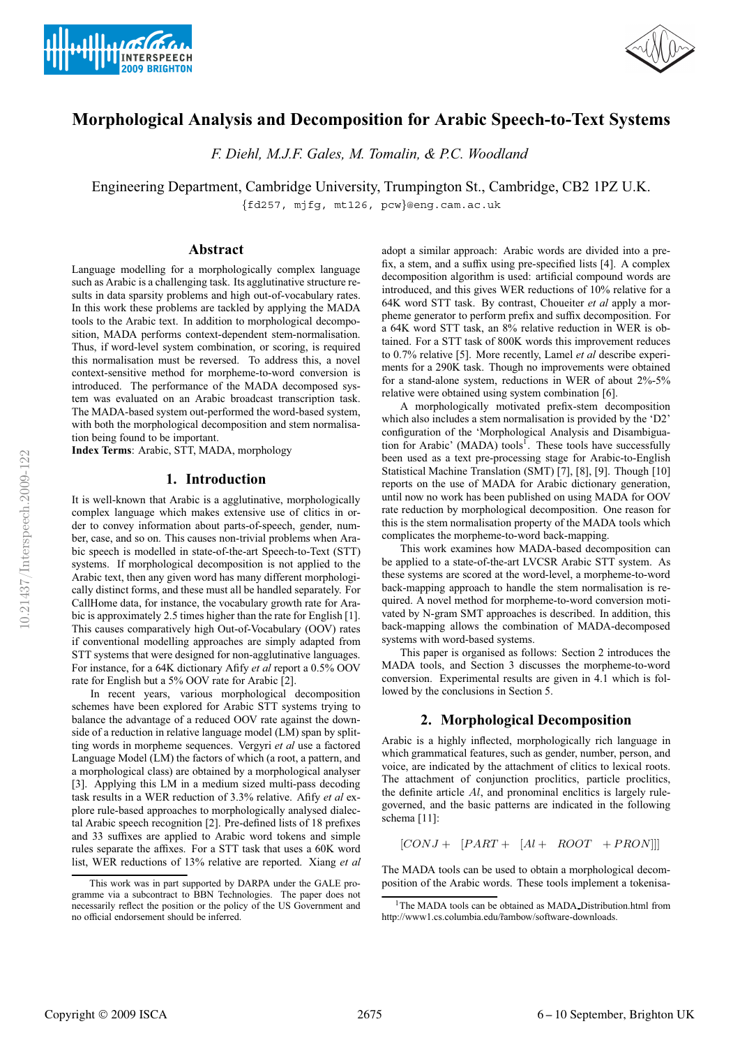



# **Morphological Analysis and Decomposition for Arabic Speech-to-Text Systems**

*F. Diehl, M.J.F. Gales, M. Tomalin, & P.C. Woodland*

Engineering Department, Cambridge University, Trumpington St., Cambridge, CB2 1PZ U.K.

{fd257, mjfg, mt126, pcw}@eng.cam.ac.uk

## **Abstract**

Language modelling for a morphologically complex language such as Arabic is a challenging task. Its agglutinative structure results in data sparsity problems and high out-of-vocabulary rates. In this work these problems are tackled by applying the MADA tools to the Arabic text. In addition to morphological decomposition, MADA performs context-dependent stem-normalisation. Thus, if word-level system combination, or scoring, is required this normalisation must be reversed. To address this, a novel context-sensitive method for morpheme-to-word conversion is introduced. The performance of the MADA decomposed system was evaluated on an Arabic broadcast transcription task. The MADA-based system out-performed the word-based system, with both the morphological decomposition and stem normalisation being found to be important.

**Index Terms**: Arabic, STT, MADA, morphology

### **1. Introduction**

It is well-known that Arabic is a agglutinative, morphologically complex language which makes extensive use of clitics in order to convey information about parts-of-speech, gender, number, case, and so on. This causes non-trivial problems when Arabic speech is modelled in state-of-the-art Speech-to-Text (STT) systems. If morphological decomposition is not applied to the Arabic text, then any given word has many different morphologically distinct forms, and these must all be handled separately. For CallHome data, for instance, the vocabulary growth rate for Arabic is approximately 2.5 times higher than the rate for English [1]. This causes comparatively high Out-of-Vocabulary (OOV) rates if conventional modelling approaches are simply adapted from STT systems that were designed for non-agglutinative languages. For instance, for a 64K dictionary Afify *et al* report a 0.5% OOV rate for English but a 5% OOV rate for Arabic [2].

In recent years, various morphological decomposition schemes have been explored for Arabic STT systems trying to balance the advantage of a reduced OOV rate against the downside of a reduction in relative language model (LM) span by splitting words in morpheme sequences. Vergyri *et al* use a factored Language Model (LM) the factors of which (a root, a pattern, and a morphological class) are obtained by a morphological analyser [3]. Applying this LM in a medium sized multi-pass decoding task results in a WER reduction of 3.3% relative. Afify *et al* explore rule-based approaches to morphologically analysed dialectal Arabic speech recognition [2]. Pre-defined lists of 18 prefixes and 33 suffixes are applied to Arabic word tokens and simple rules separate the affixes. For a STT task that uses a 60K word list, WER reductions of 13% relative are reported. Xiang *et al* adopt a similar approach: Arabic words are divided into a prefix, a stem, and a suffix using pre-specified lists [4]. A complex decomposition algorithm is used: artificial compound words are introduced, and this gives WER reductions of 10% relative for a 64K word STT task. By contrast, Choueiter *et al* apply a morpheme generator to perform prefix and suffix decomposition. For a 64K word STT task, an 8% relative reduction in WER is obtained. For a STT task of 800K words this improvement reduces to 0.7% relative [5]. More recently, Lamel *et al* describe experiments for a 290K task. Though no improvements were obtained for a stand-alone system, reductions in WER of about 2%-5% relative were obtained using system combination [6].

A morphologically motivated prefix-stem decomposition which also includes a stem normalisation is provided by the 'D2' configuration of the 'Morphological Analysis and Disambiguation for Arabic' (MADA) tools<sup>1</sup>. These tools have successfully been used as a text pre-processing stage for Arabic-to-English Statistical Machine Translation (SMT) [7], [8], [9]. Though [10] reports on the use of MADA for Arabic dictionary generation, until now no work has been published on using MADA for OOV rate reduction by morphological decomposition. One reason for this is the stem normalisation property of the MADA tools which complicates the morpheme-to-word back-mapping.

This work examines how MADA-based decomposition can be applied to a state-of-the-art LVCSR Arabic STT system. As these systems are scored at the word-level, a morpheme-to-word back-mapping approach to handle the stem normalisation is required. A novel method for morpheme-to-word conversion motivated by N-gram SMT approaches is described. In addition, this back-mapping allows the combination of MADA-decomposed systems with word-based systems.

This paper is organised as follows: Section 2 introduces the MADA tools, and Section 3 discusses the morpheme-to-word conversion. Experimental results are given in 4.1 which is followed by the conclusions in Section 5.

### **2. Morphological Decomposition**

Arabic is a highly inflected, morphologically rich language in which grammatical features, such as gender, number, person, and voice, are indicated by the attachment of clitics to lexical roots. The attachment of conjunction proclitics, particle proclitics, the definite article  $Al$ , and pronominal enclitics is largely rulegoverned, and the basic patterns are indicated in the following schema [11]:

 $[CONJ + [PART + [Al + ROOT + PRON]]]$ 

The MADA tools can be used to obtain a morphological decomposition of the Arabic words. These tools implement a tokenisa-

This work was in part supported by DARPA under the GALE programme via a subcontract to BBN Technologies. The paper does not necessarily reflect the position or the policy of the US Government and no official endorsement should be inferred.

<sup>&</sup>lt;sup>1</sup>The MADA tools can be obtained as MADA\_Distribution.html from http://www1.cs.columbia.edu/r̃ambow/software-downloads.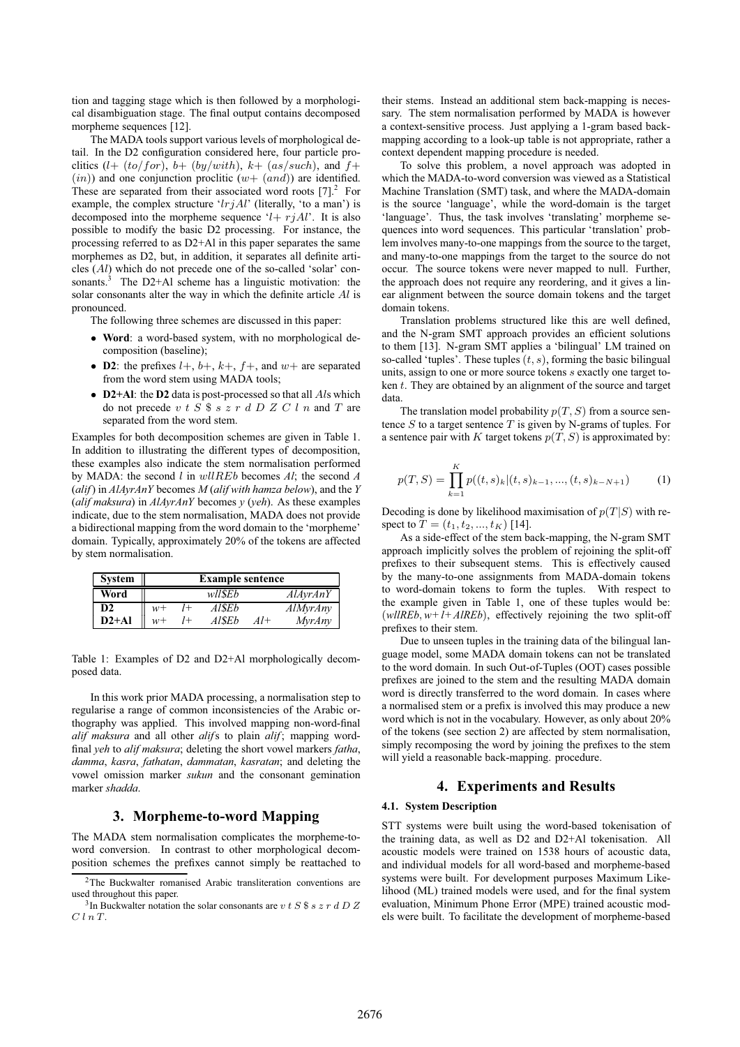tion and tagging stage which is then followed by a morphological disambiguation stage. The final output contains decomposed morpheme sequences [12].

The MADA tools support various levels of morphological detail. In the D2 configuration considered here, four particle proclitics  $(l+(to/for), b+(by/with), k+(as/such),$  and  $f+$  $(in))$  and one conjunction proclitic  $(w+ (and))$  are identified. These are separated from their associated word roots  $[7]<sup>2</sup>$  For example, the complex structure ' $l$ rj $Al$ ' (literally, 'to a man') is decomposed into the morpheme sequence ' $l+rjAl'$ . It is also possible to modify the basic D2 processing. For instance, the processing referred to as D2+Al in this paper separates the same morphemes as D2, but, in addition, it separates all definite articles (Al) which do not precede one of the so-called 'solar' consonants.<sup>3</sup> The D2+Al scheme has a linguistic motivation: the solar consonants alter the way in which the definite article Al is pronounced.

The following three schemes are discussed in this paper:

- **Word**: a word-based system, with no morphological decomposition (baseline);
- **D2**: the prefixes  $l +$ ,  $b +$ ,  $k +$ ,  $f +$ , and  $w +$  are separated from the word stem using MADA tools;
- **D2+Al**: the **D2** data is post-processed so that all *Als* which do not precede  $v$  t  $S$   $\frac{6}{5}$  s  $z$   $r$  d  $D$   $Z$   $C$  l  $n$  and  $T$  are separated from the word stem.

Examples for both decomposition schemes are given in Table 1. In addition to illustrating the different types of decomposition, these examples also indicate the stem normalisation performed by MADA: the second l in wllREb becomes *Al*; the second *A* (*alif*) in *AlAyrAnY* becomes *M* (*alif with hamza below*), and the *Y* (*alif maksura*) in *AlAyrAnY* becomes *y* (*yeh*). As these examples indicate, due to the stem normalisation, MADA does not provide a bidirectional mapping from the word domain to the 'morpheme' domain. Typically, approximately 20% of the tokens are affected by stem normalisation.

| <b>System</b> | <b>Example sentence</b> |         |         |       |                 |
|---------------|-------------------------|---------|---------|-------|-----------------|
| Word          |                         |         | wll\$Eb |       | <i>AlAyrAnY</i> |
| D2            | $w+$                    | $^{1+}$ | Al\$Eb  |       | <b>AlMyrAny</b> |
| $D2+A1$       | $w+$                    | $^{1+}$ | Al\$Eb  | $Al+$ | <b>MyrAny</b>   |

Table 1: Examples of D2 and D2+Al morphologically decomposed data.

In this work prior MADA processing, a normalisation step to regularise a range of common inconsistencies of the Arabic orthography was applied. This involved mapping non-word-final *alif maksura* and all other *alif*s to plain *alif* ; mapping wordfinal *yeh* to *alif maksura*; deleting the short vowel markers *fatha*, *damma*, *kasra*, *fathatan*, *dammatan*, *kasratan*; and deleting the vowel omission marker *sukun* and the consonant gemination marker *shadda*.

### **3. Morpheme-to-word Mapping**

The MADA stem normalisation complicates the morpheme-toword conversion. In contrast to other morphological decomposition schemes the prefixes cannot simply be reattached to their stems. Instead an additional stem back-mapping is necessary. The stem normalisation performed by MADA is however a context-sensitive process. Just applying a 1-gram based backmapping according to a look-up table is not appropriate, rather a context dependent mapping procedure is needed.

To solve this problem, a novel approach was adopted in which the MADA-to-word conversion was viewed as a Statistical Machine Translation (SMT) task, and where the MADA-domain is the source 'language', while the word-domain is the target 'language'. Thus, the task involves 'translating' morpheme sequences into word sequences. This particular 'translation' problem involves many-to-one mappings from the source to the target, and many-to-one mappings from the target to the source do not occur. The source tokens were never mapped to null. Further, the approach does not require any reordering, and it gives a linear alignment between the source domain tokens and the target domain tokens.

Translation problems structured like this are well defined, and the N-gram SMT approach provides an efficient solutions to them [13]. N-gram SMT applies a 'bilingual' LM trained on so-called 'tuples'. These tuples  $(t, s)$ , forming the basic bilingual units, assign to one or more source tokens s exactly one target token t. They are obtained by an alignment of the source and target data.

The translation model probability  $p(T, S)$  from a source sentence  $S$  to a target sentence  $T$  is given by N-grams of tuples. For a sentence pair with K target tokens  $p(T, S)$  is approximated by:

$$
p(T, S) = \prod_{k=1}^{K} p((t, s)_k | (t, s)_{k-1}, \dots, (t, s)_{k-N+1})
$$
 (1)

Decoding is done by likelihood maximisation of  $p(T|S)$  with respect to  $T = (t_1, t_2, ..., t_K)$  [14].

As a side-effect of the stem back-mapping, the N-gram SMT approach implicitly solves the problem of rejoining the split-off prefixes to their subsequent stems. This is effectively caused by the many-to-one assignments from MADA-domain tokens to word-domain tokens to form the tuples. With respect to the example given in Table 1, one of these tuples would be:  $(w\ell lREb, w+ l+AlREb)$ , effectively rejoining the two split-off prefixes to their stem.

Due to unseen tuples in the training data of the bilingual language model, some MADA domain tokens can not be translated to the word domain. In such Out-of-Tuples (OOT) cases possible prefixes are joined to the stem and the resulting MADA domain word is directly transferred to the word domain. In cases where a normalised stem or a prefix is involved this may produce a new word which is not in the vocabulary. However, as only about 20% of the tokens (see section 2) are affected by stem normalisation, simply recomposing the word by joining the prefixes to the stem will yield a reasonable back-mapping. procedure.

### **4. Experiments and Results**

#### **4.1. System Description**

STT systems were built using the word-based tokenisation of the training data, as well as D2 and D2+Al tokenisation. All acoustic models were trained on 1538 hours of acoustic data, and individual models for all word-based and morpheme-based systems were built. For development purposes Maximum Likelihood (ML) trained models were used, and for the final system evaluation, Minimum Phone Error (MPE) trained acoustic models were built. To facilitate the development of morpheme-based

<sup>2</sup>The Buckwalter romanised Arabic transliteration conventions are used throughout this paper.

<sup>&</sup>lt;sup>3</sup>In Buckwalter notation the solar consonants are v t S  $\frac{1}{3}$  s z r d D Z  $C \; l \; n \; T.$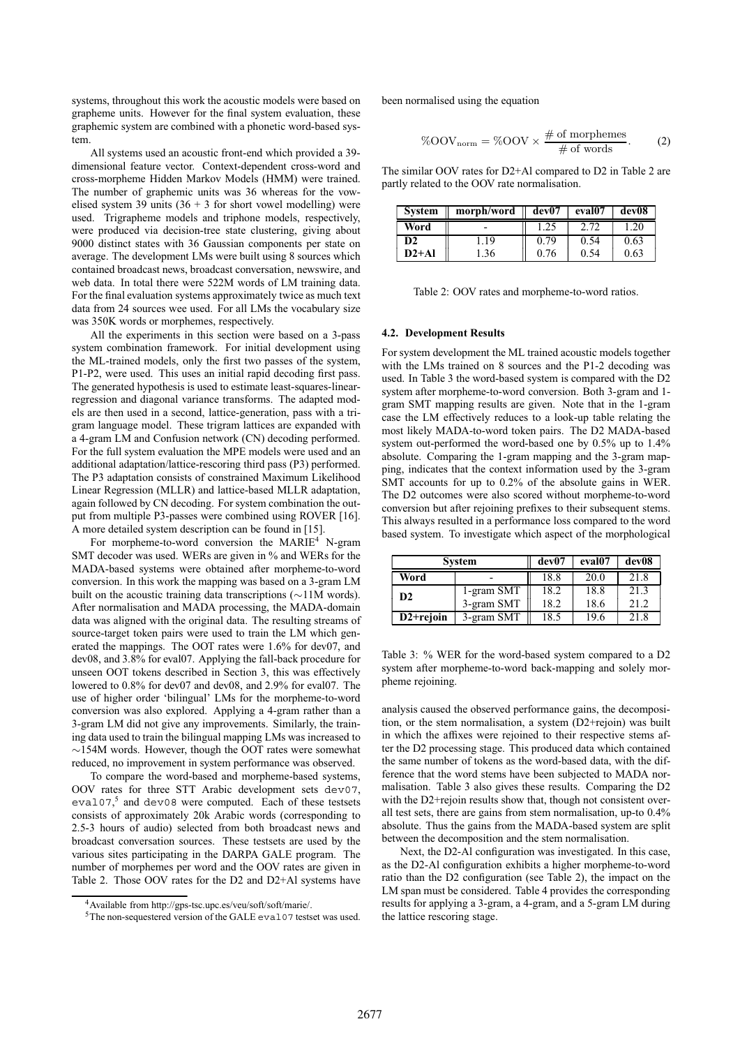systems, throughout this work the acoustic models were based on grapheme units. However for the final system evaluation, these graphemic system are combined with a phonetic word-based system.

All systems used an acoustic front-end which provided a 39 dimensional feature vector. Context-dependent cross-word and cross-morpheme Hidden Markov Models (HMM) were trained. The number of graphemic units was 36 whereas for the vowelised system 39 units  $(36 + 3$  for short vowel modelling) were used. Trigrapheme models and triphone models, respectively, were produced via decision-tree state clustering, giving about 9000 distinct states with 36 Gaussian components per state on average. The development LMs were built using 8 sources which contained broadcast news, broadcast conversation, newswire, and web data. In total there were 522M words of LM training data. For the final evaluation systems approximately twice as much text data from 24 sources wee used. For all LMs the vocabulary size was 350K words or morphemes, respectively.

All the experiments in this section were based on a 3-pass system combination framework. For initial development using the ML-trained models, only the first two passes of the system, P1-P2, were used. This uses an initial rapid decoding first pass. The generated hypothesis is used to estimate least-squares-linearregression and diagonal variance transforms. The adapted models are then used in a second, lattice-generation, pass with a trigram language model. These trigram lattices are expanded with a 4-gram LM and Confusion network (CN) decoding performed. For the full system evaluation the MPE models were used and an additional adaptation/lattice-rescoring third pass (P3) performed. The P3 adaptation consists of constrained Maximum Likelihood Linear Regression (MLLR) and lattice-based MLLR adaptation, again followed by CN decoding. For system combination the output from multiple P3-passes were combined using ROVER [16]. A more detailed system description can be found in [15].

For morpheme-to-word conversion the  $MARIE<sup>4</sup>$  N-gram SMT decoder was used. WERs are given in % and WERs for the MADA-based systems were obtained after morpheme-to-word conversion. In this work the mapping was based on a 3-gram LM built on the acoustic training data transcriptions (∼11M words). After normalisation and MADA processing, the MADA-domain data was aligned with the original data. The resulting streams of source-target token pairs were used to train the LM which generated the mappings. The OOT rates were 1.6% for dev07, and dev08, and 3.8% for eval07. Applying the fall-back procedure for unseen OOT tokens described in Section 3, this was effectively lowered to 0.8% for dev07 and dev08, and 2.9% for eval07. The use of higher order 'bilingual' LMs for the morpheme-to-word conversion was also explored. Applying a 4-gram rather than a 3-gram LM did not give any improvements. Similarly, the training data used to train the bilingual mapping LMs was increased to ∼154M words. However, though the OOT rates were somewhat reduced, no improvement in system performance was observed.

To compare the word-based and morpheme-based systems, OOV rates for three STT Arabic development sets dev07, eval07,<sup>5</sup> and dev08 were computed. Each of these testsets consists of approximately 20k Arabic words (corresponding to 2.5-3 hours of audio) selected from both broadcast news and broadcast conversation sources. These testsets are used by the various sites participating in the DARPA GALE program. The number of morphemes per word and the OOV rates are given in Table 2. Those OOV rates for the D2 and D2+Al systems have been normalised using the equation

$$
\%OOV_{norm} = \%OOV \times \frac{\# \text{ of morphemes}}{\# \text{ of words}}.
$$
 (2)

The similar OOV rates for D2+Al compared to D2 in Table 2 are partly related to the OOV rate normalisation.

| <b>System</b> | morph/word | dev07 | eval07 | dev08 |
|---------------|------------|-------|--------|-------|
| Word          |            | 1.25  |        | 1.20  |
| D2            | .19        | 0.79  | 0.54   | 0.63  |
| $D2+A1$       | 1.36       | 0.76  | 0.54   | 0.63  |

Table 2: OOV rates and morpheme-to-word ratios.

#### **4.2. Development Results**

For system development the ML trained acoustic models together with the LMs trained on 8 sources and the P1-2 decoding was used. In Table 3 the word-based system is compared with the D2 system after morpheme-to-word conversion. Both 3-gram and 1 gram SMT mapping results are given. Note that in the 1-gram case the LM effectively reduces to a look-up table relating the most likely MADA-to-word token pairs. The D2 MADA-based system out-performed the word-based one by 0.5% up to 1.4% absolute. Comparing the 1-gram mapping and the 3-gram mapping, indicates that the context information used by the 3-gram SMT accounts for up to 0.2% of the absolute gains in WER. The D2 outcomes were also scored without morpheme-to-word conversion but after rejoining prefixes to their subsequent stems. This always resulted in a performance loss compared to the word based system. To investigate which aspect of the morphological

| System         |            | dev07 | eval07 | dev08 |
|----------------|------------|-------|--------|-------|
| Word           |            | 18.8  | 20.0   | 21.8  |
| D <sub>2</sub> | 1-gram SMT | 18.2  | 18.8   | 21.3  |
|                | 3-gram SMT | 18.2  | 18.6   | 21.2  |
| $D2 +$ rejoin  | 3-gram SMT | 18.5  | 19.6   | 21.8  |

Table 3: % WER for the word-based system compared to a D2 system after morpheme-to-word back-mapping and solely morpheme rejoining.

analysis caused the observed performance gains, the decomposition, or the stem normalisation, a system (D2+rejoin) was built in which the affixes were rejoined to their respective stems after the D2 processing stage. This produced data which contained the same number of tokens as the word-based data, with the difference that the word stems have been subjected to MADA normalisation. Table 3 also gives these results. Comparing the D2 with the D2+rejoin results show that, though not consistent overall test sets, there are gains from stem normalisation, up-to 0.4% absolute. Thus the gains from the MADA-based system are split between the decomposition and the stem normalisation.

Next, the D2-Al configuration was investigated. In this case, as the D2-Al configuration exhibits a higher morpheme-to-word ratio than the D2 configuration (see Table 2), the impact on the LM span must be considered. Table 4 provides the corresponding results for applying a 3-gram, a 4-gram, and a 5-gram LM during the lattice rescoring stage.

<sup>4</sup>Available from http://gps-tsc.upc.es/veu/soft/soft/marie/.

<sup>5</sup>The non-sequestered version of the GALE eval07 testset was used.